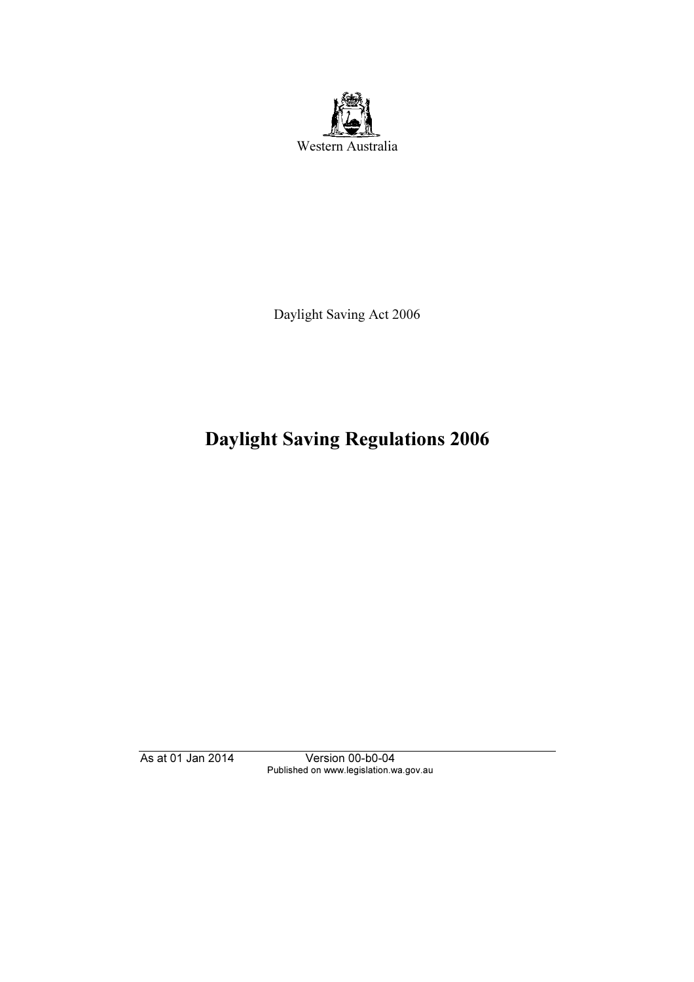

Daylight Saving Act 2006

# Daylight Saving Regulations 2006

As at 01 Jan 2014 Version 00-b0-04 Published on www.legislation.wa.gov.au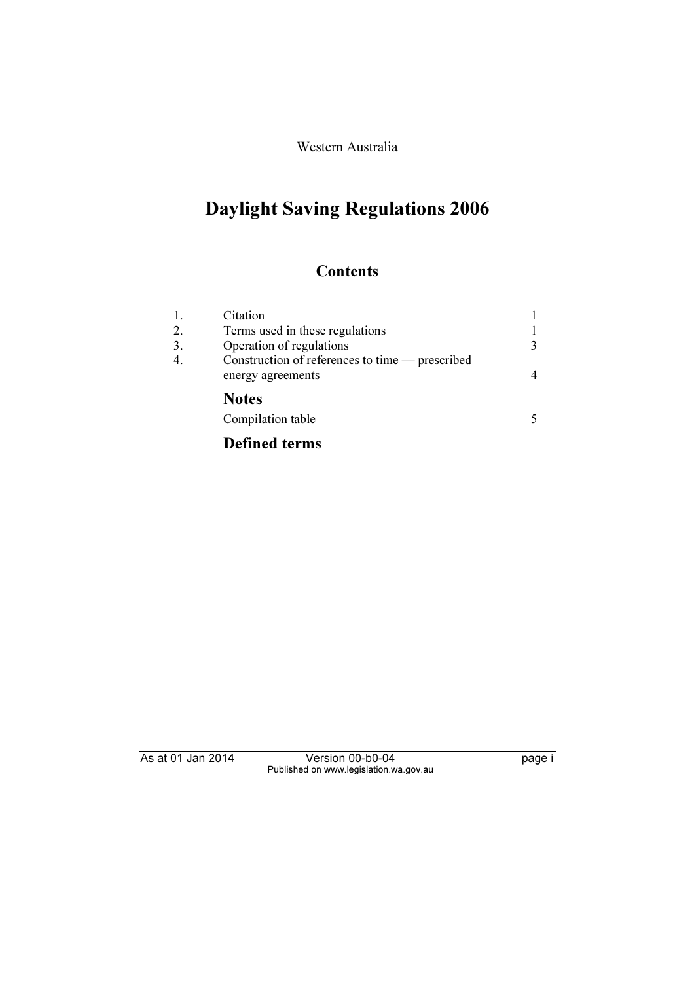Western Australia

# Daylight Saving Regulations 2006

### **Contents**

| 1.<br>2. | Citation<br>Terms used in these regulations                          |   |
|----------|----------------------------------------------------------------------|---|
| 3.       | Operation of regulations                                             | 3 |
| 4.       | Construction of references to time — prescribed<br>energy agreements |   |
|          | <b>Notes</b>                                                         |   |
|          | Compilation table                                                    |   |

## Defined terms

As at 01 Jan 2014 Version 00-b0-04 page i Published on www.legislation.wa.gov.au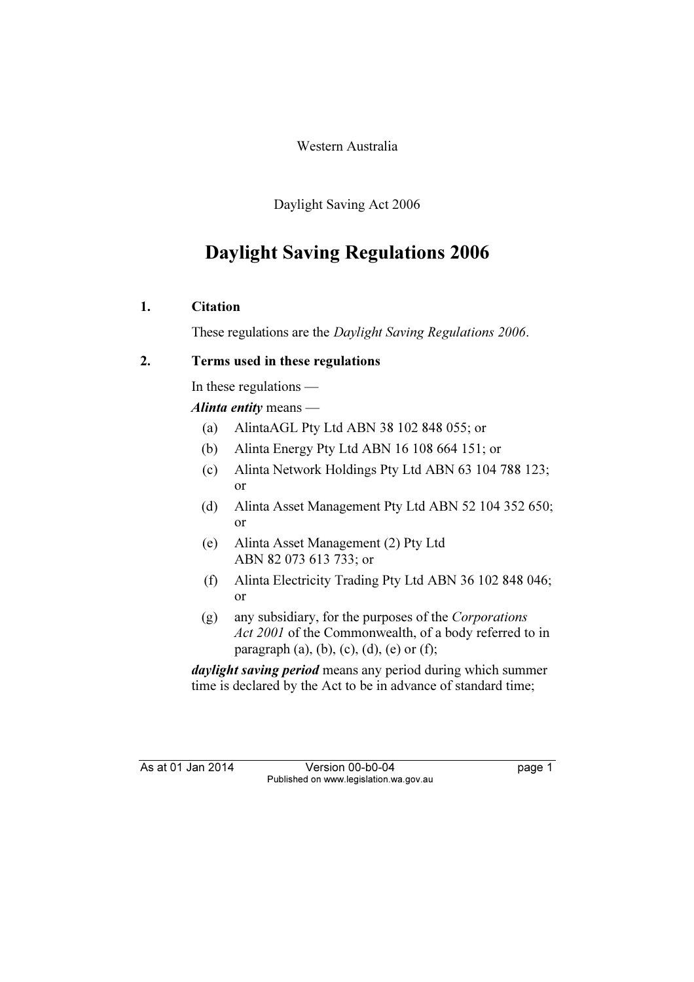Western Australia

Daylight Saving Act 2006

## Daylight Saving Regulations 2006

#### 1. Citation

These regulations are the Daylight Saving Regulations 2006.

#### 2. Terms used in these regulations

In these regulations —

Alinta entity means —

- (a) AlintaAGL Pty Ltd ABN 38 102 848 055; or
- (b) Alinta Energy Pty Ltd ABN 16 108 664 151; or
- (c) Alinta Network Holdings Pty Ltd ABN 63 104 788 123; or
- (d) Alinta Asset Management Pty Ltd ABN 52 104 352 650; or
- (e) Alinta Asset Management (2) Pty Ltd ABN 82 073 613 733; or
- (f) Alinta Electricity Trading Pty Ltd ABN 36 102 848 046; or
- (g) any subsidiary, for the purposes of the Corporations Act 2001 of the Commonwealth, of a body referred to in paragraph (a), (b), (c), (d), (e) or (f);

daylight saving period means any period during which summer time is declared by the Act to be in advance of standard time;

As at 01 Jan 2014 Version 00-b0-04 page 1 Published on www.legislation.wa.gov.au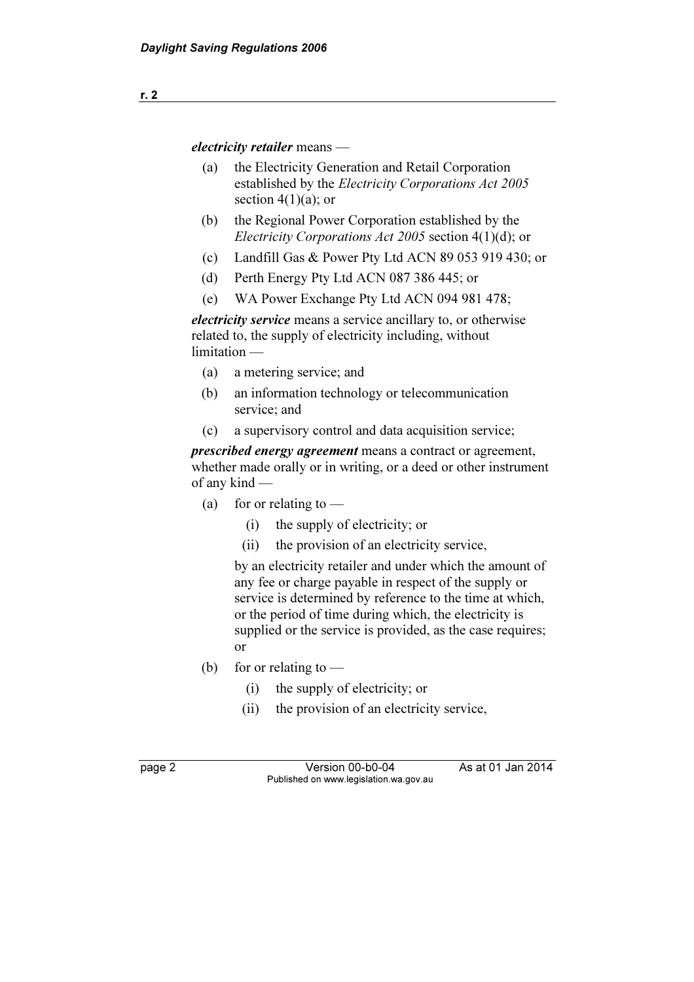electricity retailer means —

- (a) the Electricity Generation and Retail Corporation established by the Electricity Corporations Act 2005 section  $4(1)(a)$ ; or
- (b) the Regional Power Corporation established by the Electricity Corporations Act 2005 section 4(1)(d); or
- (c) Landfill Gas & Power Pty Ltd ACN 89 053 919 430; or
- (d) Perth Energy Pty Ltd ACN 087 386 445; or
- (e) WA Power Exchange Pty Ltd ACN 094 981 478;

electricity service means a service ancillary to, or otherwise related to, the supply of electricity including, without limitation —

- (a) a metering service; and
- (b) an information technology or telecommunication service; and
- (c) a supervisory control and data acquisition service;

prescribed energy agreement means a contract or agreement, whether made orally or in writing, or a deed or other instrument of any kind —

- (a) for or relating to  $-$ 
	- (i) the supply of electricity; or
	- (ii) the provision of an electricity service,

 by an electricity retailer and under which the amount of any fee or charge payable in respect of the supply or service is determined by reference to the time at which, or the period of time during which, the electricity is supplied or the service is provided, as the case requires; or

- (b) for or relating to  $-$ 
	- (i) the supply of electricity; or
	- (ii) the provision of an electricity service,

page 2 Version 00-b0-04 As at 01 Jan 2014 Published on www.legislation.wa.gov.au

r. 2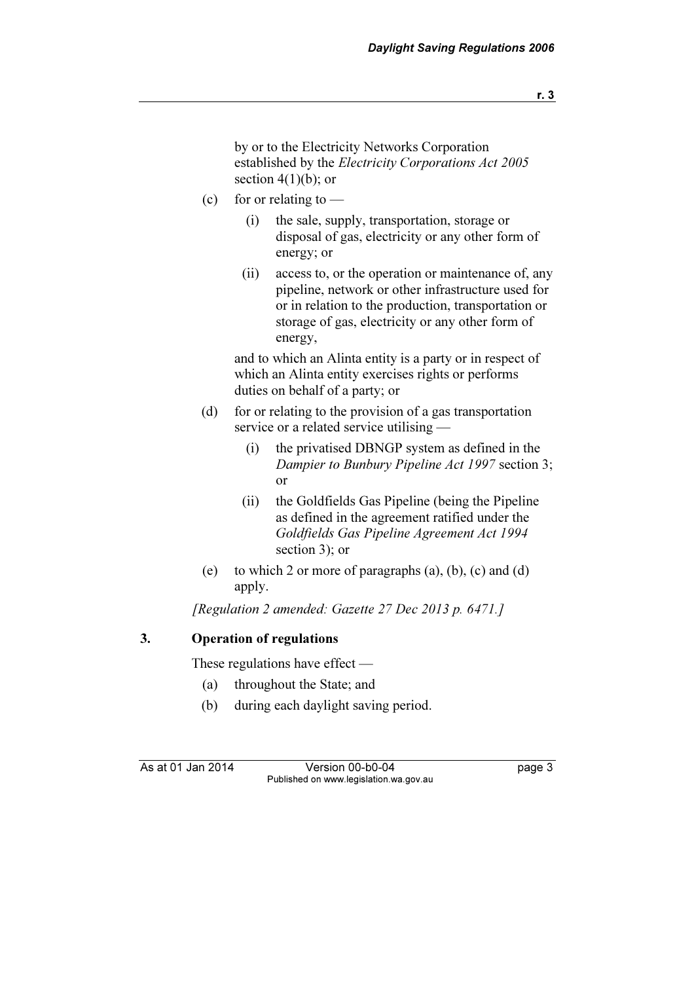by or to the Electricity Networks Corporation established by the Electricity Corporations Act 2005 section  $4(1)(b)$ ; or

- (c) for or relating to  $-$ 
	- (i) the sale, supply, transportation, storage or disposal of gas, electricity or any other form of energy; or
	- (ii) access to, or the operation or maintenance of, any pipeline, network or other infrastructure used for or in relation to the production, transportation or storage of gas, electricity or any other form of energy,

 and to which an Alinta entity is a party or in respect of which an Alinta entity exercises rights or performs duties on behalf of a party; or

- (d) for or relating to the provision of a gas transportation service or a related service utilising —
	- (i) the privatised DBNGP system as defined in the Dampier to Bunbury Pipeline Act 1997 section 3; or
	- (ii) the Goldfields Gas Pipeline (being the Pipeline as defined in the agreement ratified under the Goldfields Gas Pipeline Agreement Act 1994 section 3); or
- (e) to which 2 or more of paragraphs (a), (b), (c) and (d) apply.

[Regulation 2 amended: Gazette 27 Dec 2013 p. 6471.]

#### 3. Operation of regulations

These regulations have effect —

- (a) throughout the State; and
- (b) during each daylight saving period.

As at 01 Jan 2014 Version 00-b0-04 page 3 Published on www.legislation.wa.gov.au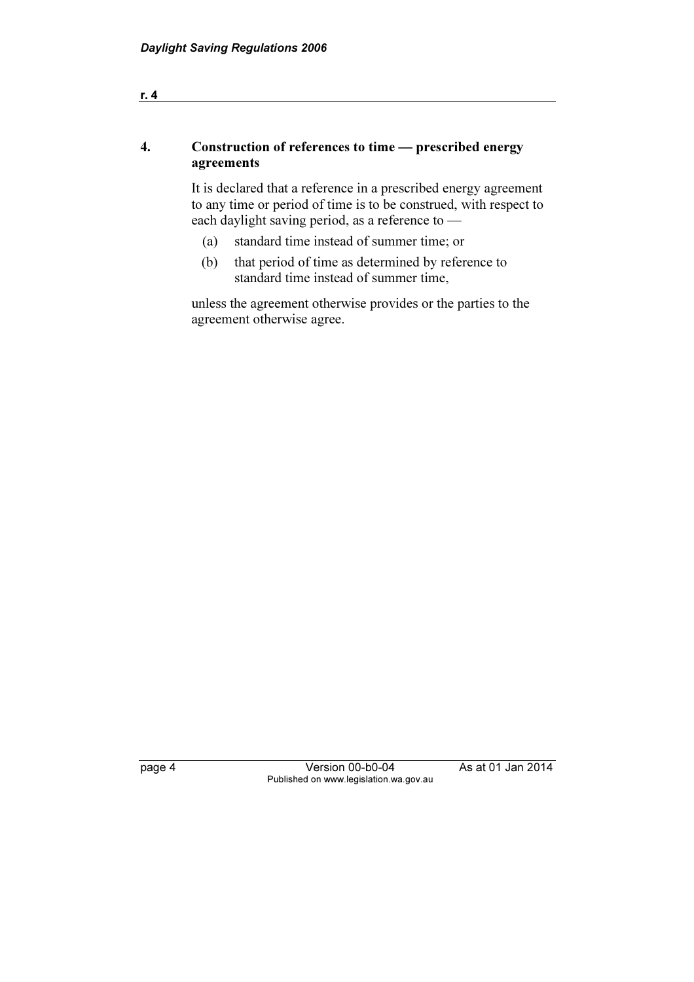#### 4. Construction of references to time — prescribed energy agreements

 It is declared that a reference in a prescribed energy agreement to any time or period of time is to be construed, with respect to each daylight saving period, as a reference to —

- (a) standard time instead of summer time; or
- (b) that period of time as determined by reference to standard time instead of summer time,

 unless the agreement otherwise provides or the parties to the agreement otherwise agree.

r. 4

page 4 Version 00-b0-04 As at 01 Jan 2014 Published on www.legislation.wa.gov.au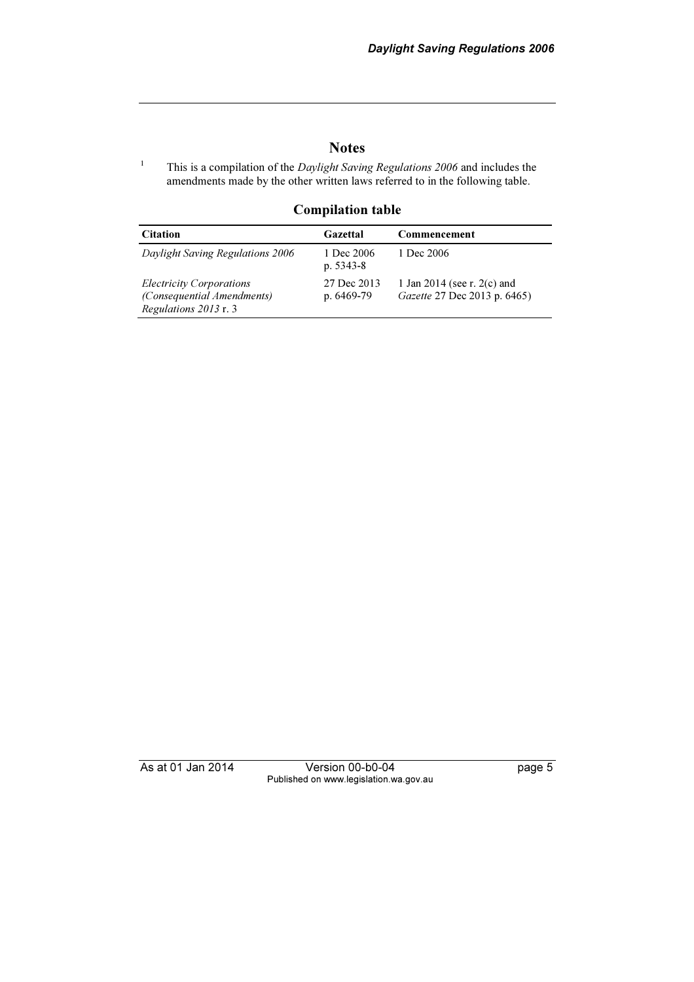#### **Notes**

This is a compilation of the *Daylight Saving Regulations 2006* and includes the amendments made by the other written laws referred to in the following table.

#### Compilation table

| <b>Citation</b>                                                                        | Gazettal                    | Commencement                                                  |
|----------------------------------------------------------------------------------------|-----------------------------|---------------------------------------------------------------|
| Daylight Saving Regulations 2006                                                       | 1 Dec 2006<br>p. $5343-8$   | 1 Dec 2006                                                    |
| <i>Electricity Corporations</i><br>(Consequential Amendments)<br>Regulations 2013 r. 3 | 27 Dec 2013<br>p. $6469-79$ | 1 Jan 2014 (see r. $2(c)$ and<br>Gazette 27 Dec 2013 p. 6465) |

1

As at 01 Jan 2014 Version 00-b0-04 page 5 Published on www.legislation.wa.gov.au